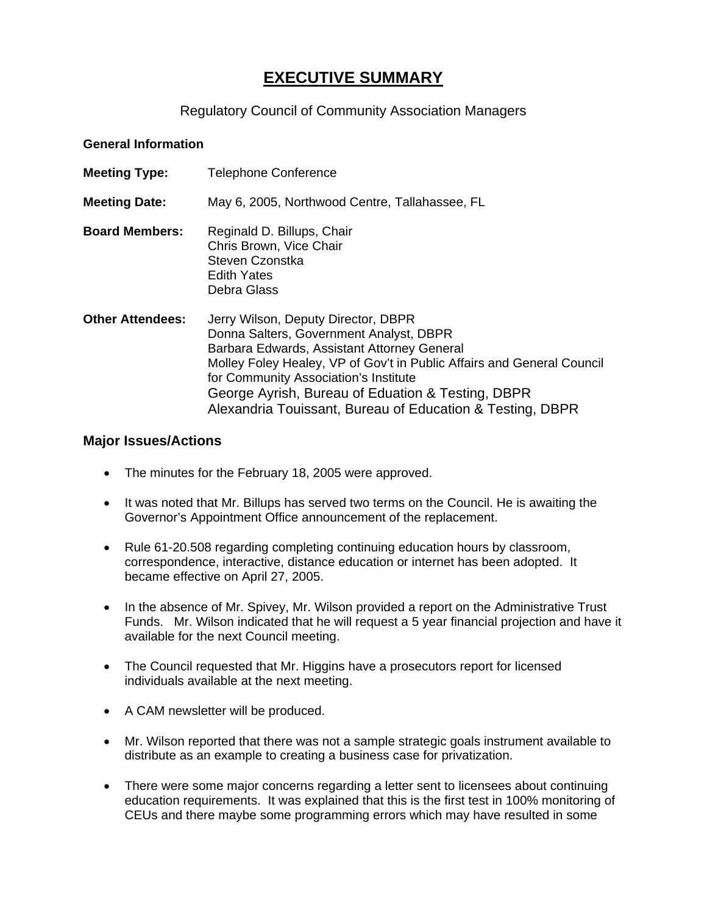## **EXECUTIVE SUMMARY**

## Regulatory Council of Community Association Managers

## **General Information**

| <b>Meeting Type:</b>    | <b>Telephone Conference</b>                                                                                                                                                                                                                                                                                                                                        |
|-------------------------|--------------------------------------------------------------------------------------------------------------------------------------------------------------------------------------------------------------------------------------------------------------------------------------------------------------------------------------------------------------------|
| <b>Meeting Date:</b>    | May 6, 2005, Northwood Centre, Tallahassee, FL                                                                                                                                                                                                                                                                                                                     |
| <b>Board Members:</b>   | Reginald D. Billups, Chair<br>Chris Brown, Vice Chair<br>Steven Czonstka<br><b>Edith Yates</b><br>Debra Glass                                                                                                                                                                                                                                                      |
| <b>Other Attendees:</b> | Jerry Wilson, Deputy Director, DBPR<br>Donna Salters, Government Analyst, DBPR<br>Barbara Edwards, Assistant Attorney General<br>Molley Foley Healey, VP of Gov't in Public Affairs and General Council<br>for Community Association's Institute<br>George Ayrish, Bureau of Eduation & Testing, DBPR<br>Alexandria Touissant, Bureau of Education & Testing, DBPR |

## **Major Issues/Actions**

- The minutes for the February 18, 2005 were approved.
- It was noted that Mr. Billups has served two terms on the Council. He is awaiting the Governor's Appointment Office announcement of the replacement.
- Rule 61-20.508 regarding completing continuing education hours by classroom, correspondence, interactive, distance education or internet has been adopted. It became effective on April 27, 2005.
- In the absence of Mr. Spivey, Mr. Wilson provided a report on the Administrative Trust Funds. Mr. Wilson indicated that he will request a 5 year financial projection and have it available for the next Council meeting.
- The Council requested that Mr. Higgins have a prosecutors report for licensed individuals available at the next meeting.
- A CAM newsletter will be produced.
- Mr. Wilson reported that there was not a sample strategic goals instrument available to distribute as an example to creating a business case for privatization.
- There were some major concerns regarding a letter sent to licensees about continuing education requirements. It was explained that this is the first test in 100% monitoring of CEUs and there maybe some programming errors which may have resulted in some